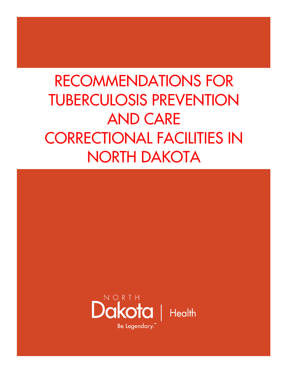# RECOMMENDATIONS FOR TUBERCULOSIS PREVENTION AND CARE CORRECTIONAL FACILITIES IN NORTH DAKOTA

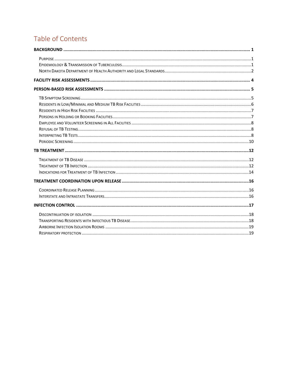# Table of Contents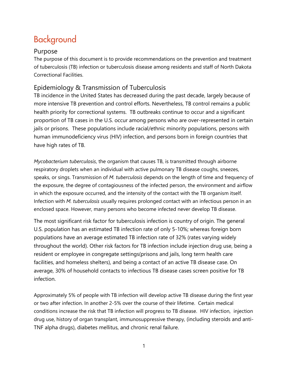# Background

#### Purpose

The purpose of this document is to provide recommendations on the prevention and treatment of tuberculosis (TB) infection or tuberculosis disease among residents and staff of North Dakota Correctional Facilities.

### Epidemiology & Transmission of Tuberculosis

TB incidence in the United States has decreased during the past decade, largely because of more intensive TB prevention and control efforts. Nevertheless, TB control remains a public health priority for correctional systems. TB outbreaks continue to occur and a significant proportion of TB cases in the U.S. occur among persons who are over-represented in certain jails or prisons. These populations include racial/ethnic minority populations, persons with human immunodeficiency virus (HIV) infection, and persons born in foreign countries that have high rates of TB.

*Mycobacterium tuberculosis*, the organism that causes TB, is transmitted through airborne respiratory droplets when an individual with active pulmonary TB disease coughs, sneezes, speaks, or sings. Transmission of *M. tuberculosis* depends on the length of time and frequency of the exposure, the degree of contagiousness of the infected person, the environment and airflow in which the exposure occurred, and the intensity of the contact with the TB organism itself. Infection with *M. tuberculosis* usually requires prolonged contact with an infectious person in an enclosed space. However, many persons who become infected never develop TB disease.

The most significant risk factor for tuberculosis infection is country of origin. The general U.S. population has an estimated TB infection rate of only 5-10%; whereas foreign born populations have an average estimated TB infection rate of 32% (rates varying widely throughout the world). Other risk factors for TB infection include injection drug use, being a resident or employee in congregate settings(prisons and jails, long term health care facilities, and homeless shelters), and being a contact of an active TB disease case. On average, 30% of household contacts to infectious TB disease cases screen positive for TB infection.

Approximately 5% of people with TB infection will develop active TB disease during the first year or two after infection. In another 2-5% over the course of their lifetime. Certain medical conditions increase the risk that TB infection will progress to TB disease. HIV infection, injection drug use, history of organ transplant, immunosuppressive therapy, (including steroids and anti-TNF alpha drugs), diabetes mellitus, and chronic renal failure.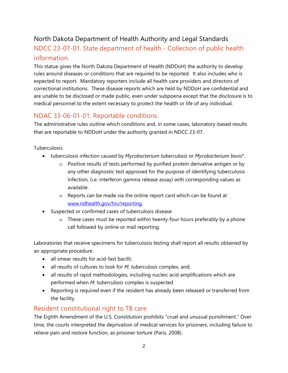# North Dakota Department of Health Authority and Legal Standards

# NDCC 23-07-01. State department of health - Collection of public health information.

This statue gives the North Dakota Department of Health (NDDoH) the authority to develop rules around diseases or conditions that are required to be reported. It also includes who is expected to report. Mandatory reporters include all health care providers and directors of correctional institutions. These disease reports which are held by NDDoH are confidential and are unable to be disclosed or made public, even under subpoena except that the disclosure is to medical personnel to the extent necessary to protect the health or life of any individual.

# NDAC 33-06-01-01. Reportable conditions.

The administrative rules outline which conditions and, in some cases, laboratory-based results that are reportable to NDDoH under the authority granted in NDCC 23-07.

Tuberculosis:

- tuberculosis infection caused by *Mycobacterium tuberculosis* or *Mycobacterium bovis*\*.
	- o Positive results of tests performed by purified protein derivative antigen or by any other diagnostic test approved for the purpose of identifying tuberculosis infection, (i.e. interferon gamma release assay) with corresponding values as available.
	- o Reports can be made via the online report card which can be found at www.ndhealth.gov/hiv/reporting.
- Suspected or confirmed cases of tuberculosis disease
	- o These cases must be reported within twenty-four hours preferably by a phone call followed by online or mail reporting.

Laboratories that receive specimens for tuberculosis testing shall report all results obtained by an appropriate procedure.

- all smear results for acid-fast bacilli:
- all results of cultures to look for *M. tuberculosis* complex, and;
- all results of rapid methodologies, including nucleic acid amplifications which are performed when *M. tuberculosis* complex is suspected
- Reporting is required even if the resident has already been released or transferred from the facility.

### Resident constitutional right to TB care

The Eighth Amendment of the U.S. Constitution prohibits "cruel and unusual punishment." Over time, the courts interpreted the deprivation of medical services for prisoners, including failure to relieve pain and restore function, as prisoner torture (Paris, 2008).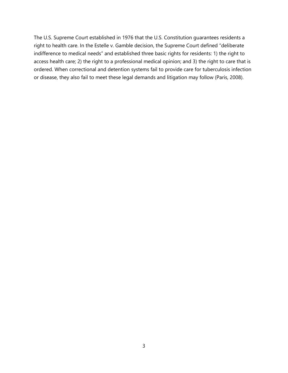The U.S. Supreme Court established in 1976 that the U.S. Constitution guarantees residents a right to health care. In the Estelle v. Gamble decision, the Supreme Court defined "deliberate indifference to medical needs" and established three basic rights for residents: 1) the right to access health care; 2) the right to a professional medical opinion; and 3) the right to care that is ordered. When correctional and detention systems fail to provide care for tuberculosis infection or disease, they also fail to meet these legal demands and litigation may follow (Paris, 2008).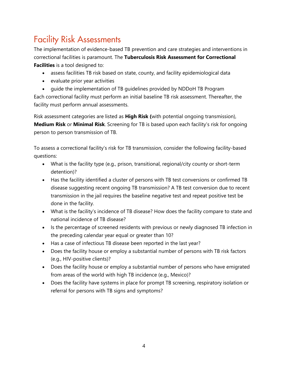# Facility Risk Assessments

The implementation of evidence-based TB prevention and care strategies and interventions in correctional facilities is paramount. The **Tuberculosis Risk Assessment for Correctional Facilities** is a tool designed to:

- assess facilities TB risk based on state, county, and facility epidemiological data
- evaluate prior year activities
- guide the implementation of TB guidelines provided by NDDoH TB Program

Each correctional facility must perform an initial baseline TB risk assessment. Thereafter, the facility must perform annual assessments.

Risk assessment categories are listed as **High Risk (**with potential ongoing transmission), **Medium Risk** or **Minimal Risk**. Screening for TB is based upon each facility's risk for ongoing person to person transmission of TB.

To assess a correctional facility's risk for TB transmission, consider the following facility-based questions:

- What is the facility type (e.g., prison, transitional, regional/city county or short-term detention)?
- Has the facility identified a cluster of persons with TB test conversions or confirmed TB disease suggesting recent ongoing TB transmission? A TB test conversion due to recent transmission in the jail requires the baseline negative test and repeat positive test be done in the facility.
- What is the facility's incidence of TB disease? How does the facility compare to state and national incidence of TB disease?
- Is the percentage of screened residents with previous or newly diagnosed TB infection in the preceding calendar year equal or greater than 10?
- Has a case of infectious TB disease been reported in the last year?
- Does the facility house or employ a substantial number of persons with TB risk factors (e.g., HIV-positive clients)?
- Does the facility house or employ a substantial number of persons who have emigrated from areas of the world with high TB incidence (e.g., Mexico)?
- Does the facility have systems in place for prompt TB screening, respiratory isolation or referral for persons with TB signs and symptoms?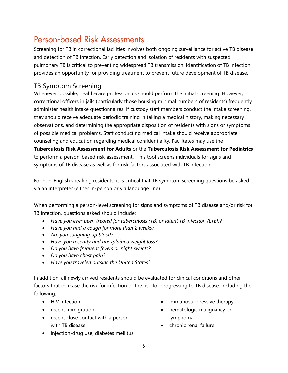# Person-based Risk Assessments

Screening for TB in correctional facilities involves both ongoing surveillance for active TB disease and detection of TB infection. Early detection and isolation of residents with suspected pulmonary TB is critical to preventing widespread TB transmission. Identification of TB infection provides an opportunity for providing treatment to prevent future development of TB disease.

# TB Symptom Screening

Whenever possible, health-care professionals should perform the initial screening. However, correctional officers in jails (particularly those housing minimal numbers of residents) frequently administer health intake questionnaires. If custody staff members conduct the intake screening, they should receive adequate periodic training in taking a medical history, making necessary observations, and determining the appropriate disposition of residents with signs or symptoms of possible medical problems. Staff conducting medical intake should receive appropriate counseling and education regarding medical confidentiality. Facilitates may use the **Tuberculosis Risk Assessment for Adults** or the **Tuberculosis Risk Assessment for Pediatrics** to perform a person-based risk-assessment. This tool screens individuals for signs and symptoms of TB disease as well as for risk factors associated with TB infection.

For non-English speaking residents, it is critical that TB symptom screening questions be asked via an interpreter (either in-person or via language line).

When performing a person-level screening for signs and symptoms of TB disease and/or risk for TB infection, questions asked should include:

- *Have you ever been treated for tuberculosis (TB) or latent TB infection (LTBI)?*
- *Have you had a cough for more than 2 weeks?*
- *Are you coughing up blood?*
- *Have you recently had unexplained weight loss?*
- *Do you have frequent fevers or night sweats?*
- *Do you have chest pain?*
- *Have you traveled outside the United States?*

In addition, all newly arrived residents should be evaluated for clinical conditions and other factors that increase the risk for infection or the risk for progressing to TB disease, including the following:

- HIV infection
- recent immigration
- recent close contact with a person with TB disease
- injection-drug use, diabetes mellitus
- immunosuppressive therapy
- hematologic malignancy or lymphoma
- chronic renal failure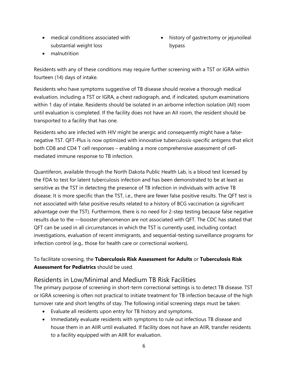- medical conditions associated with substantial weight loss
- history of gastrectomy or jejunoileal bypass

• malnutrition

Residents with any of these conditions may require further screening with a TST or IGRA within fourteen (14) days of intake.

Residents who have symptoms suggestive of TB disease should receive a thorough medical evaluation, including a TST or IGRA, a chest radiograph, and, if indicated, sputum examinations within 1 day of intake. Residents should be isolated in an airborne infection isolation (AII) room until evaluation is completed. If the facility does not have an AII room, the resident should be transported to a facility that has one.

Residents who are infected with HIV might be anergic and consequently might have a falsenegative TST. QFT-Plus is now optimized with innovative tuberculosis-specific antigens that elicit both CD8 and CD4 T cell responses – enabling a more comprehensive assessment of cellmediated immune response to TB infection.

Quantiferon, available through the North Dakota Public Health Lab, is a blood test licensed by the FDA to test for latent tuberculosis infection and has been demonstrated to be at least as sensitive as the TST in detecting the presence of TB infection in individuals with active TB disease. It is more specific than the TST, i.e., there are fewer false positive results. The QFT test is not associated with false positive results related to a history of BCG vaccination (a significant advantage over the TST). Furthermore, there is no need for 2-step testing because false negative results due to the ―booster phenomenon are not associated with QFT. The CDC has stated that QFT can be used in all circumstances in which the TST is currently used, including contact investigations, evaluation of recent immigrants, and sequential-testing surveillance programs for infection control (e.g., those for health care or correctional workers).

To facilitate screening, the **Tuberculosis Risk Assessment for Adults** or **Tuberculosis Risk Assessment for Pediatrics** should be used.

#### Residents in Low/Minimal and Medium TB Risk Facilities

The primary purpose of screening in short-term correctional settings is to detect TB disease. TST or IGRA screening is often not practical to initiate treatment for TB infection because of the high turnover rate and short lengths of stay. The following initial screening steps must be taken:

- Evaluate all residents upon entry for TB history and symptoms.
- Immediately evaluate residents with symptoms to rule out infectious TB disease and house them in an AIIR until evaluated. If facility does not have an AIIR, transfer residents to a facility equipped with an AIIR for evaluation.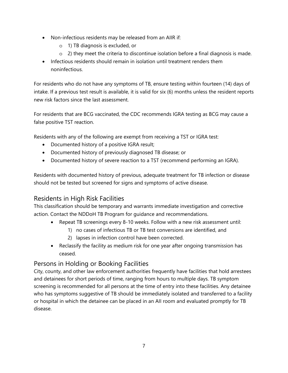- Non-infectious residents may be released from an AIIR if:
	- o 1) TB diagnosis is excluded, or
	- o 2) they meet the criteria to discontinue isolation before a final diagnosis is made.
- Infectious residents should remain in isolation until treatment renders them noninfectious.

For residents who do not have any symptoms of TB, ensure testing within fourteen (14) days of intake. If a previous test result is available, it is valid for six (6) months unless the resident reports new risk factors since the last assessment.

For residents that are BCG vaccinated, the CDC recommends IGRA testing as BCG may cause a false positive TST reaction.

Residents with any of the following are exempt from receiving a TST or IGRA test:

- Documented history of a positive IGRA result;
- Documented history of previously diagnosed TB disease; or
- Documented history of severe reaction to a TST (recommend performing an IGRA).

Residents with documented history of previous, adequate treatment for TB infection or disease should not be tested but screened for signs and symptoms of active disease.

#### Residents in High Risk Facilities

This classification should be temporary and warrants immediate investigation and corrective action. Contact the NDDoH TB Program for guidance and recommendations.

- Repeat TB screenings every 8-10 weeks. Follow with a new risk assessment until:
	- 1) no cases of infectious TB or TB test conversions are identified, and
	- 2) lapses in infection control have been corrected.
- Reclassify the facility as medium risk for one year after ongoing transmission has ceased.

#### Persons in Holding or Booking Facilities

City, county, and other law enforcement authorities frequently have facilities that hold arrestees and detainees for short periods of time, ranging from hours to multiple days. TB symptom screening is recommended for all persons at the time of entry into these facilities. Any detainee who has symptoms suggestive of TB should be immediately isolated and transferred to a facility or hospital in which the detainee can be placed in an AII room and evaluated promptly for TB disease.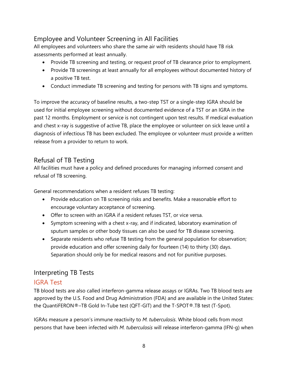# Employee and Volunteer Screening in All Facilities

All employees and volunteers who share the same air with residents should have TB risk assessments performed at least annually.

- Provide TB screening and testing, or request proof of TB clearance prior to employment.
- Provide TB screenings at least annually for all employees without documented history of a positive TB test.
- Conduct immediate TB screening and testing for persons with TB signs and symptoms.

To improve the accuracy of baseline results, a two-step TST or a single-step IGRA should be used for initial employee screening without documented evidence of a TST or an IGRA in the past 12 months. Employment or service is not contingent upon test results. If medical evaluation and chest x-ray is suggestive of active TB, place the employee or volunteer on sick leave until a diagnosis of infectious TB has been excluded. The employee or volunteer must provide a written release from a provider to return to work.

### Refusal of TB Testing

All facilities must have a policy and defined procedures for managing informed consent and refusal of TB screening.

General recommendations when a resident refuses TB testing:

- Provide education on TB screening risks and benefits. Make a reasonable effort to encourage voluntary acceptance of screening.
- Offer to screen with an IGRA if a resident refuses TST, or vice versa.
- Symptom screening with a chest x-ray, and if indicated, laboratory examination of sputum samples or other body tissues can also be used for TB disease screening.
- Separate residents who refuse TB testing from the general population for observation; provide education and offer screening daily for fourteen (14) to thirty (30) days. Separation should only be for medical reasons and not for punitive purposes.

### Interpreting TB Tests

#### IGRA Test

TB blood tests are also called interferon-gamma release assays or IGRAs. Two TB blood tests are approved by the U.S. Food and Drug Administration (FDA) and are available in the United States: the QuantiFERON®–TB Gold In-Tube test (QFT-GIT) and the T-SPOT®.TB test (T-Spot).

IGRAs measure a person's immune reactivity to *M. tuberculosis*. White blood cells from most persons that have been infected with *M. tuberculosis* will release interferon-gamma (IFN-g) when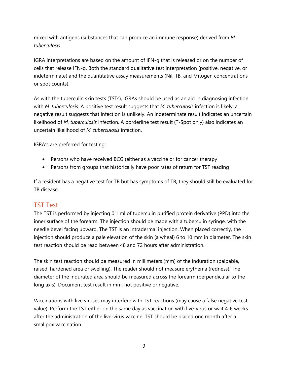mixed with antigens (substances that can produce an immune response) derived from *M. tuberculosis*.

IGRA interpretations are based on the amount of IFN-g that is released or on the number of cells that release IFN-g. Both the standard qualitative test interpretation (positive, negative, or indeterminate) and the quantitative assay measurements (Nil, TB, and Mitogen concentrations or spot counts).

As with the tuberculin skin tests (TSTs), IGRAs should be used as an aid in diagnosing infection with *M. tuberculosis*. A positive test result suggests that *M. tuberculosis* infection is likely; a negative result suggests that infection is unlikely. An indeterminate result indicates an uncertain likelihood of *M. tuberculosis* infection. A borderline test result (T-Spot only) also indicates an uncertain likelihood of *M. tuberculosis* infection.

IGRA's are preferred for testing:

- Persons who have received BCG (either as a vaccine or for cancer therapy
- Persons from groups that historically have poor rates of return for TST reading

If a resident has a negative test for TB but has symptoms of TB, they should still be evaluated for TB disease.

#### TST Test

The TST is performed by injecting 0.1 ml of tuberculin purified protein derivative (PPD) into the inner surface of the forearm. The injection should be made with a tuberculin syringe, with the needle bevel facing upward. The TST is an intradermal injection. When placed correctly, the injection should produce a pale elevation of the skin (a wheal) 6 to 10 mm in diameter. The skin test reaction should be read between 48 and 72 hours after administration.

The skin test reaction should be measured in millimeters (mm) of the induration (palpable, raised, hardened area or swelling). The reader should not measure erythema (redness). The diameter of the indurated area should be measured across the forearm (perpendicular to the long axis). Document test result in mm, not positive or negative.

Vaccinations with live viruses may interfere with TST reactions (may cause a false negative test value). Perform the TST either on the same day as vaccination with live-virus or wait 4-6 weeks after the administration of the live-virus vaccine. TST should be placed one month after a smallpox vaccination.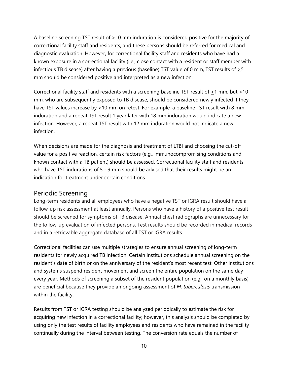A baseline screening TST result of  $\geq$ 10 mm induration is considered positive for the majority of correctional facility staff and residents, and these persons should be referred for medical and diagnostic evaluation. However, for correctional facility staff and residents who have had a known exposure in a correctional facility (i.e., close contact with a resident or staff member with infectious TB disease) after having a previous (baseline) TST value of 0 mm, TST results of  $\geq 5$ mm should be considered positive and interpreted as a new infection.

Correctional facility staff and residents with a screening baseline TST result of  $\geq$ 1 mm, but <10 mm, who are subsequently exposed to TB disease, should be considered newly infected if they have TST values increase by  $\geq$ 10 mm on retest. For example, a baseline TST result with 8 mm induration and a repeat TST result 1 year later with 18 mm induration would indicate a new infection. However, a repeat TST result with 12 mm induration would not indicate a new infection.

When decisions are made for the diagnosis and treatment of LTBI and choosing the cut-off value for a positive reaction, certain risk factors (e.g., immunocompromising conditions and known contact with a TB patient) should be assessed. Correctional facility staff and residents who have TST indurations of 5 - 9 mm should be advised that their results might be an indication for treatment under certain conditions.

#### Periodic Screening

Long-term residents and all employees who have a negative TST or IGRA result should have a follow-up risk assessment at least annually. Persons who have a history of a positive test result should be screened for symptoms of TB disease. Annual chest radiographs are unnecessary for the follow-up evaluation of infected persons. Test results should be recorded in medical records and in a retrievable aggregate database of all TST or IGRA results.

Correctional facilities can use multiple strategies to ensure annual screening of long-term residents for newly acquired TB infection. Certain institutions schedule annual screening on the resident's date of birth or on the anniversary of the resident's most recent test. Other institutions and systems suspend resident movement and screen the entire population on the same day every year. Methods of screening a subset of the resident population (e.g., on a monthly basis) are beneficial because they provide an ongoing assessment of *M. tuberculosis* transmission within the facility.

Results from TST or IGRA testing should be analyzed periodically to estimate the risk for acquiring new infection in a correctional facility; however, this analysis should be completed by using only the test results of facility employees and residents who have remained in the facility continually during the interval between testing. The conversion rate equals the number of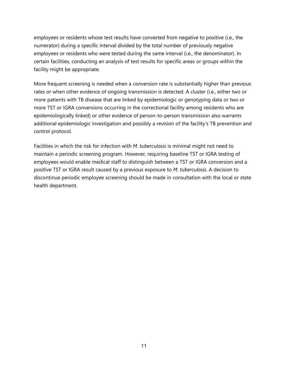employees or residents whose test results have converted from negative to positive (i.e., the numerator) during a specific interval divided by the total number of previously negative employees or residents who were tested during the same interval (i.e., the denominator). In certain facilities, conducting an analysis of test results for specific areas or groups within the facility might be appropriate.

More frequent screening is needed when a conversion rate is substantially higher than previous rates or when other evidence of ongoing transmission is detected. A cluster (i.e., either two or more patients with TB disease that are linked by epidemiologic or genotyping data or two or more TST or IGRA conversions occurring in the correctional facility among residents who are epidemiologically linked) or other evidence of person-to-person transmission also warrants additional epidemiologic investigation and possibly a revision of the facility's TB prevention and control protocol.

Facilities in which the risk for infection with *M. tuberculosis* is minimal might not need to maintain a periodic screening program. However, requiring baseline TST or IGRA testing of employees would enable medical staff to distinguish between a TST or IGRA conversion and a positive TST or IGRA result caused by a previous exposure to *M. tuberculosis*. A decision to discontinue periodic employee screening should be made in consultation with the local or state health department.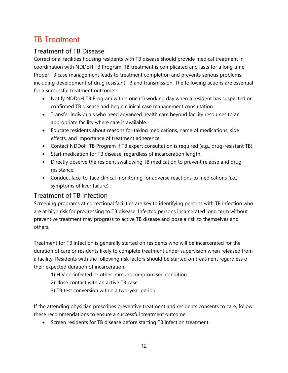# TB Treatment

## Treatment of TB Disease

Correctional facilities housing residents with TB disease should provide medical treatment in coordination with NDDoH TB Program. TB treatment is complicated and lasts for a long time. Proper TB case management leads to treatment completion and prevents serious problems, including development of drug resistant TB and transmission. The following actions are essential for a successful treatment outcome:

- Notify NDDoH TB Program within one (1) working day when a resident has suspected or confirmed TB disease and begin clinical case management consultation.
- Transfer individuals who need advanced health care beyond facility resources to an appropriate facility where care is available.
- Educate residents about reasons for taking medications, name of medications, side effects, and importance of treatment adherence.
- Contact NDDoH TB Program if TB expert consultation is required (e.g., drug-resistant TB).
- Start medication for TB disease, regardless of incarceration length.
- Directly observe the resident swallowing TB medication to prevent relapse and drug resistance.
- Conduct face-to-face clinical monitoring for adverse reactions to medications (i.e., symptoms of liver failure).

#### Treatment of TB Infection

Screening programs at correctional facilities are key to identifying persons with TB infection who are at high risk for progressing to TB disease. Infected persons incarcerated long term without preventive treatment may progress to active TB disease and pose a risk to themselves and others.

Treatment for TB infection is generally started on residents who will be incarcerated for the duration of care or residents likely to complete treatment under supervision when released from a facility. Residents with the following risk factors should be started on treatment regardless of their expected duration of incarceration:

- 1) HIV co-infected or other immunocompromised condition
- 2) close contact with an active TB case
- 3) TB test conversion within a two-year period

If the attending physician prescribes preventive treatment and residents consents to care, follow these recommendations to ensure a successful treatment outcome:

• Screen residents for TB disease before starting TB infection treatment.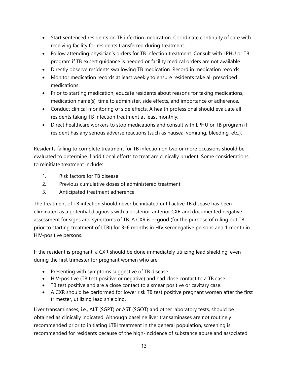- Start sentenced residents on TB infection medication. Coordinate continuity of care with receiving facility for residents transferred during treatment.
- Follow attending physician's orders for TB infection treatment. Consult with LPHU or TB program if TB expert guidance is needed or facility medical orders are not available.
- Directly observe residents swallowing TB medication. Record in medication records.
- Monitor medication records at least weekly to ensure residents take all prescribed medications.
- Prior to starting medication, educate residents about reasons for taking medications, medication name(s), time to administer, side effects, and importance of adherence.
- Conduct clinical monitoring of side effects. A health professional should evaluate all residents taking TB infection treatment at least monthly.
- Direct healthcare workers to stop medications and consult with LPHU or TB program if resident has any serious adverse reactions (such as nausea, vomiting, bleeding, etc.).

Residents failing to complete treatment for TB infection on two or more occasions should be evaluated to determine if additional efforts to treat are clinically prudent. Some considerations to reinitiate treatment include:

- 1. Risk factors for TB disease
- 2. Previous cumulative doses of administered treatment
- 3. Anticipated treatment adherence

The treatment of TB infection should never be initiated until active TB disease has been eliminated as a potential diagnosis with a posterior-anterior CXR and documented negative assessment for signs and symptoms of TB. A CXR is ―good (for the purpose of ruling out TB prior to starting treatment of LTBI) for 3–6 months in HIV seronegative persons and 1 month in HIV-positive persons.

If the resident is pregnant, a CXR should be done immediately utilizing lead shielding, even during the first trimester for pregnant women who are:

- Presenting with symptoms suggestive of TB disease.
- HIV-positive (TB test positive or negative) and had close contact to a TB case.
- TB test positive and are a close contact to a smear positive or cavitary case.
- A CXR should be performed for lower risk TB test positive pregnant women after the first trimester, utilizing lead shielding.

Liver transaminases, i.e., ALT (SGPT) or AST (SGOT) and other laboratory tests, should be obtained as clinically indicated. Although baseline liver transaminases are not routinely recommended prior to initiating LTBI treatment in the general population, screening is recommended for residents because of the high-incidence of substance abuse and associated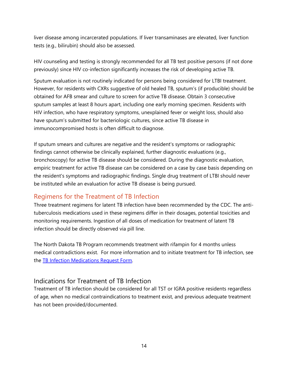liver disease among incarcerated populations. If liver transaminases are elevated, liver function tests (e.g., bilirubin) should also be assessed.

HIV counseling and testing is strongly recommended for all TB test positive persons (if not done previously) since HIV co-infection significantly increases the risk of developing active TB.

Sputum evaluation is not routinely indicated for persons being considered for LTBI treatment. However, for residents with CXRs suggestive of old healed TB, sputum's (if producible) should be obtained for AFB smear and culture to screen for active TB disease. Obtain 3 consecutive sputum samples at least 8 hours apart, including one early morning specimen. Residents with HIV infection, who have respiratory symptoms, unexplained fever or weight loss, should also have sputum's submitted for bacteriologic cultures, since active TB disease in immunocompromised hosts is often difficult to diagnose.

If sputum smears and cultures are negative and the resident's symptoms or radiographic findings cannot otherwise be clinically explained, further diagnostic evaluations (e.g., bronchoscopy) for active TB disease should be considered. During the diagnostic evaluation, empiric treatment for active TB disease can be considered on a case by case basis depending on the resident's symptoms and radiographic findings. Single drug treatment of LTBI should never be instituted while an evaluation for active TB disease is being pursued.

#### Regimens for the Treatment of TB Infection

Three treatment regimens for latent TB infection have been recommended by the CDC. The antituberculosis medications used in these regimens differ in their dosages, potential toxicities and monitoring requirements. Ingestion of all doses of medication for treatment of latent TB infection should be directly observed via pill line.

The North Dakota TB Program recommends treatment with rifampin for 4 months unless medical contradictions exist. For more information and to initiate treatment for TB infection, see the TB Infection Medications Request Form.

#### Indications for Treatment of TB Infection

Treatment of TB infection should be considered for all TST or IGRA positive residents regardless of age, when no medical contraindications to treatment exist, and previous adequate treatment has not been provided/documented.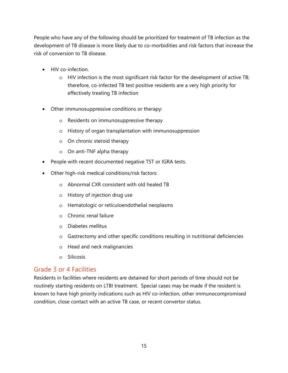People who have any of the following should be prioritized for treatment of TB infection as the development of TB disease is more likely due to co-morbidities and risk factors that increase the risk of conversion to TB disease.

- HIV co-infection.
	- o HIV infection is the most significant risk factor for the development of active TB; therefore, co-infected TB test positive residents are a very high priority for effectively treating TB infection
- Other immunosuppressive conditions or therapy:
	- o Residents on immunosuppressive therapy
	- o History of organ transplantation with immunosuppression
	- o On chronic steroid therapy
	- o On anti-TNF alpha therapy
- People with recent documented negative TST or IGRA tests.
- Other high-risk medical conditions/risk factors:
	- o Abnormal CXR consistent with old healed TB
	- o History of injection drug use
	- o Hematologic or reticuloendothelial neoplasms
	- o Chronic renal failure
	- o Diabetes mellitus
	- o Gastrectomy and other specific conditions resulting in nutritional deficiencies
	- o Head and neck malignancies
	- o Silicosis

#### Grade 3 or 4 Facilities

Residents in facilities where residents are detained for short periods of time should not be routinely starting residents on LTBI treatment. Special cases may be made if the resident is known to have high priority indications such as HIV co-infection, other immunocompromised condition, close contact with an active TB case, or recent convertor status.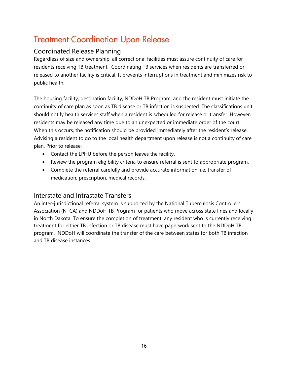# Treatment Coordination Upon Release

### Coordinated Release Planning

Regardless of size and ownership, all correctional facilities must assure continuity of care for residents receiving TB treatment. Coordinating TB services when residents are transferred or released to another facility is critical. It prevents interruptions in treatment and minimizes risk to public health.

The housing facility, destination facility, NDDoH TB Program, and the resident must initiate the continuity of care plan as soon as TB disease or TB infection is suspected. The classifications unit should notify health services staff when a resident is scheduled for release or transfer. However, residents may be released any time due to an unexpected or immediate order of the court. When this occurs, the notification should be provided immediately after the resident's release. Advising a resident to go to the local health department upon release is not a continuity of care plan. Prior to release:

- Contact the LPHU before the person leaves the facility.
- Review the program eligibility criteria to ensure referral is sent to appropriate program.
- Complete the referral carefully and provide accurate information; i.e. transfer of medication, prescription, medical records.

### Interstate and Intrastate Transfers

An inter-jurisdictional referral system is supported by the National Tuberculosis Controllers Association (NTCA) and NDDoH TB Program for patients who move across state lines and locally in North Dakota. To ensure the completion of treatment, any resident who is currently receiving treatment for either TB infection or TB disease must have paperwork sent to the NDDoH TB program. NDDoH will coordinate the transfer of the care between states for both TB infection and TB disease instances.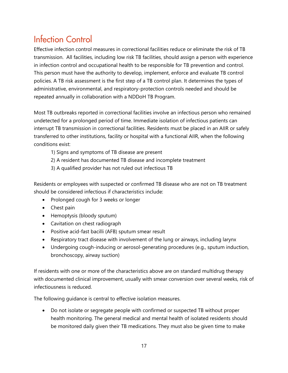# Infection Control

Effective infection control measures in correctional facilities reduce or eliminate the risk of TB transmission. All facilities, including low risk TB facilities, should assign a person with experience in infection control and occupational health to be responsible for TB prevention and control. This person must have the authority to develop, implement, enforce and evaluate TB control policies. A TB risk assessment is the first step of a TB control plan. It determines the types of administrative, environmental, and respiratory-protection controls needed and should be repeated annually in collaboration with a NDDoH TB Program.

Most TB outbreaks reported in correctional facilities involve an infectious person who remained undetected for a prolonged period of time. Immediate isolation of infectious patients can interrupt TB transmission in correctional facilities. Residents must be placed in an AIIR or safely transferred to other institutions, facility or hospital with a functional AIIR, when the following conditions exist:

- 1) Signs and symptoms of TB disease are present
- 2) A resident has documented TB disease and incomplete treatment
- 3) A qualified provider has not ruled out infectious TB

Residents or employees with suspected or confirmed TB disease who are not on TB treatment should be considered infectious if characteristics include:

- Prolonged cough for 3 weeks or longer
- Chest pain
- Hemoptysis (bloody sputum)
- Cavitation on chest radiograph
- Positive acid-fast bacilli (AFB) sputum smear result
- Respiratory tract disease with involvement of the lung or airways, including larynx
- Undergoing cough-inducing or aerosol-generating procedures (e.g., sputum induction, bronchoscopy, airway suction)

If residents with one or more of the characteristics above are on standard multidrug therapy with documented clinical improvement, usually with smear conversion over several weeks, risk of infectiousness is reduced.

The following guidance is central to effective isolation measures.

• Do not isolate or segregate people with confirmed or suspected TB without proper health monitoring. The general medical and mental health of isolated residents should be monitored daily given their TB medications. They must also be given time to make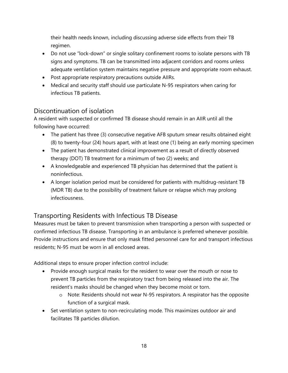their health needs known, including discussing adverse side effects from their TB regimen.

- Do not use "lock-down" or single solitary confinement rooms to isolate persons with TB signs and symptoms. TB can be transmitted into adjacent corridors and rooms unless adequate ventilation system maintains negative pressure and appropriate room exhaust.
- Post appropriate respiratory precautions outside AIIRs.
- Medical and security staff should use particulate N-95 respirators when caring for infectious TB patients.

#### Discontinuation of isolation

A resident with suspected or confirmed TB disease should remain in an AIIR until all the following have occurred:

- The patient has three (3) consecutive negative AFB sputum smear results obtained eight (8) to twenty-four (24) hours apart, with at least one (1) being an early morning specimen
- The patient has demonstrated clinical improvement as a result of directly observed therapy (DOT) TB treatment for a minimum of two (2) weeks; and
- A knowledgeable and experienced TB physician has determined that the patient is noninfectious.
- A longer isolation period must be considered for patients with multidrug-resistant TB (MDR TB) due to the possibility of treatment failure or relapse which may prolong infectiousness.

# Transporting Residents with Infectious TB Disease

Measures must be taken to prevent transmission when transporting a person with suspected or confirmed infectious TB disease. Transporting in an ambulance is preferred whenever possible. Provide instructions and ensure that only mask fitted personnel care for and transport infectious residents; N-95 must be worn in all enclosed areas.

Additional steps to ensure proper infection control include:

- Provide enough surgical masks for the resident to wear over the mouth or nose to prevent TB particles from the respiratory tract from being released into the air. The resident's masks should be changed when they become moist or torn.
	- o Note: Residents should not wear N-95 respirators. A respirator has the opposite function of a surgical mask.
- Set ventilation system to non-recirculating mode. This maximizes outdoor air and facilitates TB particles dilution.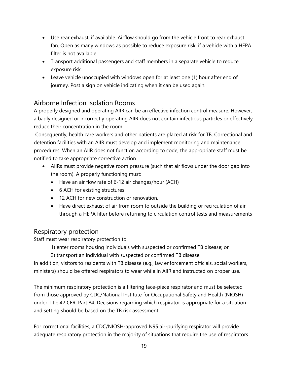- Use rear exhaust, if available. Airflow should go from the vehicle front to rear exhaust fan. Open as many windows as possible to reduce exposure risk, if a vehicle with a HEPA filter is not available.
- Transport additional passengers and staff members in a separate vehicle to reduce exposure risk.
- Leave vehicle unoccupied with windows open for at least one (1) hour after end of journey. Post a sign on vehicle indicating when it can be used again.

## Airborne Infection Isolation Rooms

A properly designed and operating AIIR can be an effective infection control measure. However, a badly designed or incorrectly operating AIIR does not contain infectious particles or effectively reduce their concentration in the room.

 Consequently, health care workers and other patients are placed at risk for TB. Correctional and detention facilities with an AIIR must develop and implement monitoring and maintenance procedures. When an AIIR does not function according to code, the appropriate staff must be notified to take appropriate corrective action.

- AllRs must provide negative room pressure (such that air flows under the door gap into the room). A properly functioning must:
	- Have an air flow rate of 6-12 air changes/hour (ACH)
	- 6 ACH for existing structures
	- 12 ACH for new construction or renovation.
	- Have direct exhaust of air from room to outside the building or recirculation of air through a HEPA filter before returning to circulation control tests and measurements

#### Respiratory protection

Staff must wear respiratory protection to:

1) enter rooms housing individuals with suspected or confirmed TB disease; or

2) transport an individual with suspected or confirmed TB disease.

In addition, visitors to residents with TB disease (e.g., law enforcement officials, social workers, ministers) should be offered respirators to wear while in AIIR and instructed on proper use.

The minimum respiratory protection is a filtering face-piece respirator and must be selected from those approved by CDC/National Institute for Occupational Safety and Health (NIOSH) under Title 42 CFR, Part 84. Decisions regarding which respirator is appropriate for a situation and setting should be based on the TB risk assessment.

For correctional facilities, a CDC/NIOSH-approved N95 air-purifying respirator will provide adequate respiratory protection in the majority of situations that require the use of respirators .